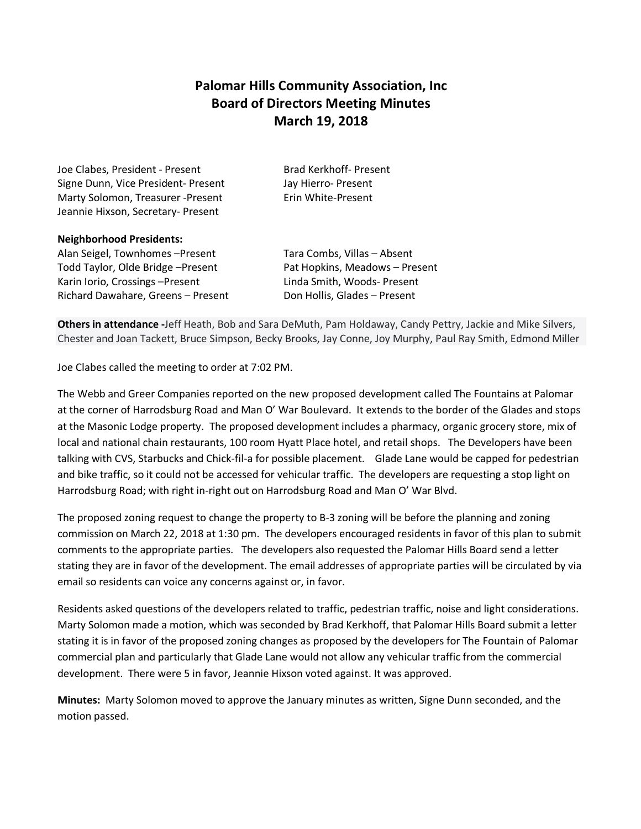## **Palomar Hills Community Association, Inc Board of Directors Meeting Minutes March 19, 2018**

Joe Clabes, President - Present Brad Kerkhoff- Present Signe Dunn, Vice President- Present Jay Hierro- Present Marty Solomon, Treasurer -Present Erin White-Present Jeannie Hixson, Secretary- Present

## **Neighborhood Presidents:**

Alan Seigel, Townhomes –Present Tara Combs, Villas – Absent Todd Taylor, Olde Bridge –Present Pat Hopkins, Meadows – Present Karin Iorio, Crossings – Present Linda Smith, Woods- Present Richard Dawahare, Greens – Present Don Hollis, Glades – Present

**Others in attendance -**Jeff Heath, Bob and Sara DeMuth, Pam Holdaway, Candy Pettry, Jackie and Mike Silvers, Chester and Joan Tackett, Bruce Simpson, Becky Brooks, Jay Conne, Joy Murphy, Paul Ray Smith, Edmond Miller

Joe Clabes called the meeting to order at 7:02 PM.

The Webb and Greer Companies reported on the new proposed development called The Fountains at Palomar at the corner of Harrodsburg Road and Man O' War Boulevard. It extends to the border of the Glades and stops at the Masonic Lodge property. The proposed development includes a pharmacy, organic grocery store, mix of local and national chain restaurants, 100 room Hyatt Place hotel, and retail shops. The Developers have been talking with CVS, Starbucks and Chick-fil-a for possible placement. Glade Lane would be capped for pedestrian and bike traffic, so it could not be accessed for vehicular traffic. The developers are requesting a stop light on Harrodsburg Road; with right in-right out on Harrodsburg Road and Man O' War Blvd.

The proposed zoning request to change the property to B-3 zoning will be before the planning and zoning commission on March 22, 2018 at 1:30 pm. The developers encouraged residents in favor of this plan to submit comments to the appropriate parties. The developers also requested the Palomar Hills Board send a letter stating they are in favor of the development. The email addresses of appropriate parties will be circulated by via email so residents can voice any concerns against or, in favor.

Residents asked questions of the developers related to traffic, pedestrian traffic, noise and light considerations. Marty Solomon made a motion, which was seconded by Brad Kerkhoff, that Palomar Hills Board submit a letter stating it is in favor of the proposed zoning changes as proposed by the developers for The Fountain of Palomar commercial plan and particularly that Glade Lane would not allow any vehicular traffic from the commercial development. There were 5 in favor, Jeannie Hixson voted against. It was approved.

**Minutes:** Marty Solomon moved to approve the January minutes as written, Signe Dunn seconded, and the motion passed.